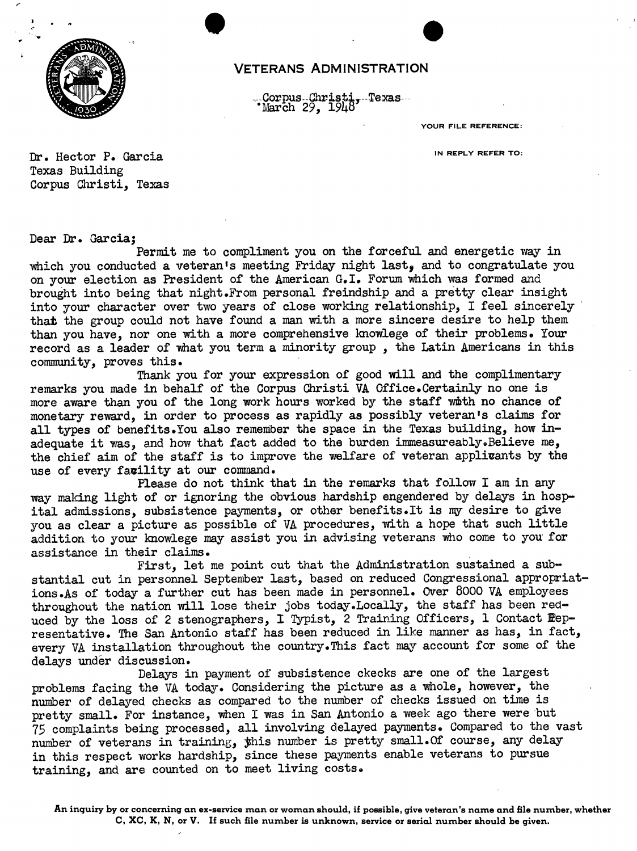

## VETERANS ADMINISTRATION

 $\bullet$ 

-Corpus - Christi, -Texas --<br>'March 29, 1948

YOUR FILE REFERENCE:

Dr. Hector P. Garcia **Intervention Community** IN REPLY REFER TO: Texas Building Corpus Christi, Texas

Dear Dr. Garcia;

Permit me to compliment you on the forceful and energetic way in which you conducted a veteran's meeting Friday night last, and to congratulate you on your election as President of the American G. I. Forum which was formed and brought into being that night.From persona<sup>l</sup> freindship and <sup>a</sup> pretty clear insight into your character over two years of close working relationship, <sup>I</sup> feel sincerely that the group could not have found <sup>a</sup> man with <sup>a</sup> more sincere desire to help them than you have, nor one with <sup>a</sup> more comprehensive knowlege of their problems. Your record as <sup>a</sup> leader of what you term <sup>a</sup> minority group , the Latin Americans in this community, proves this.

Thank you for your expression of good will and the complimentary remarks you made in behalf of the Corpus Christi VA Office.Certainly no one is more aware than you of the long work hours worked by the staff with no chance of monetary reward, in order to process as rapidly as possibly veteran's claims for all types of benefits. You also remember the space in the Texas building, how inadequate it was, and how that fact added to the burden immeasureably.Believe me, the chief aim of the staff is to improve the welfare of veteran applivants by the use of every fagility at our command.

Please do not think that in the remarks that follow I am in any way making light of or ignoring the obvious hardship engendered by delays in hospital admissions, subsistence payments, or other benefits.It is my desire to give you as clear <sup>a</sup> picture as possible of VA procedures, with <sup>a</sup> hope that such little addition to your knowlege may assist you in advising veterans who come to you for assistance in their claims.

First, let me point out that the Administration sustained <sup>a</sup> substantial cut in personnel September last, based on reduced Congressional appropriations.As of today <sup>a</sup> further cut has been made in personnel. Over 8000 VA employees throughout the nation will lose their jobs today.Locally, the staff has been reduced by the loss of 2 stenographers, I Typist, 2 Training Officers, 1 Contact Pepresentative. The San Antonio staff has been reduced in like manner as has, in fact, every VA installation throughout the country. This fact may account for some of the delays under discussion.

Delays in payment of subsistence ckecks are one of the largest problems facing the VA today. Considering the picture as <sup>a</sup> whole, however, the number of delayed checks as compared to the number of checks issued on time is pretty small. For instance, when <sup>I</sup> was in San Antonio <sup>a</sup> week ago there were but 75 complaints being processed, all involving delayed payments. Compared to the vast number of veterans in training, this number is pretty small. Of course, any delay in this respect works hardship, since these payments enable veterans to pursue training, and are counted on to meet living costs.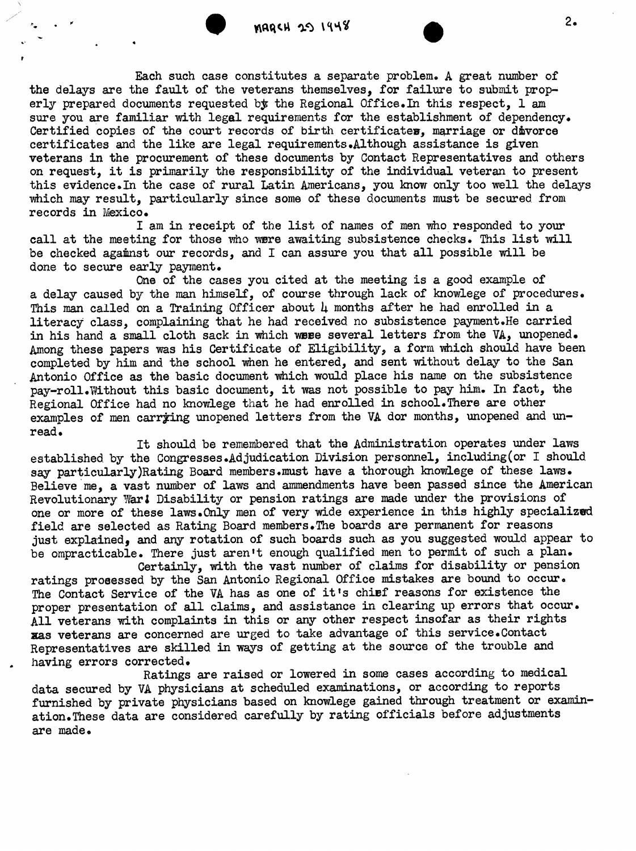.

Each such case constitutes a separate problem. A great number of the delays are the fault of the veterans themselves, for failure to submit properly prepared documents requested by the Regional Office. In this respect,  $1$  am sure you are familiar with legal requirements for the establishment of dependency. Certified copies of the court records of birth certificates, marriage or divorce certificates and the like are legal requirements.Although assistance is given veterans in the procurement of these documents by Contact Representatives and others on request, it is primarily the responsibility of the individual veteran to present this evidence.In the case of rural Latin Americans, you know only too well the delays which may result, particularly since some of these documents must be secured from records in Mexico.

I am in receipt of the list of names of men who responded to your call at the meeting for those who were awaiting subsistence checks. This list will be checked against our records, and <sup>I</sup> can assure you that all possible will be done to secure early payment.

One of the cases you cited at the meeting is <sup>a</sup> good example of <sup>a</sup> delay caused by the man himself, of course through lack of knowlege of procedures. This man called on a Training Officer about  $\mu$  months after he had enrolled in a literacy class, complaining that he had received no subsistence payment.He carried in his hand <sup>a</sup> small cloth sack in which wese several letters from the VA, unopened. Among these papers was his Certificate of Eligibility, <sup>a</sup> form which should have been completed by him and the school when he entered, and sent without delay to the San Antonio Office as the basic document which would place his name on the subsistence pay-roll.Without this basic document, it was not possible to pay him. In fact, the Regional Office had no knowlege that he had enrolled in school. There are other examples of men carrying unopened letters from the VA dor months, unopened and unread.

It should be remembered that the Administration operates under laws established by the Congresses.Adjudication Division personnel, including(or <sup>I</sup> should say particularly)Rating Board members.must have a thorough knowlege of these laws. Believe me, <sup>a</sup> vast number of laws and ammendments have been passed since the American Revolutionary War! Disability or pension ratings are made under the provisions of one or more of these laws.Only men of very wide experience in this highly specialized field are selected as Rating Board members.The boards are permanent for reasons just explained, and any rotation of such boards such as you suggested would appear to be ompracticable. There just aren't enough qualified men to permit of such a plan. Certainly, with the vast number of claims for disability or pension

ratings prosessed by the San Antonio Regional Office mistakes are bound to occur. The Contact Service of the VA has as one of it's chief reasons for existence the proper presentation of all claims, and assistance in clearing up errors that occur. All veterans with complaints in this or any other respect insofar as their rights zas veterans are concerned are urged to take advantage of this service.Contact Representatives are skilled in ways of getting at the source of the trouble and having errors corrected.

Ratings are raised or lowered in some cases according to medical data secured by VA physicians at scheduled examinations, or according to reports furnished by private physicians based on knowlege gained through treatment or axamination.These data are considered carefully by rating officials before adjustments are made.